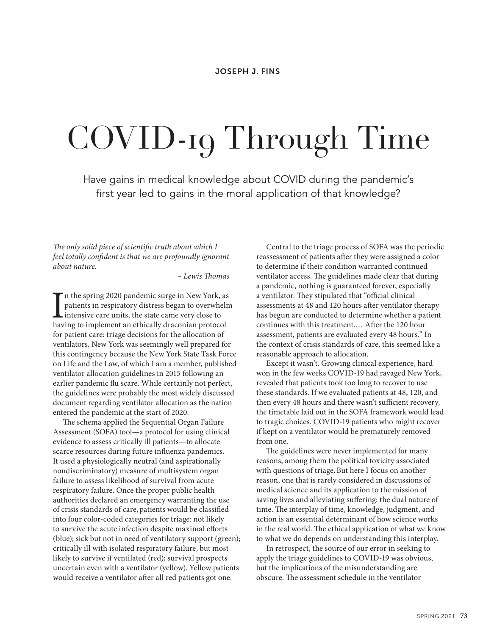# COVID-19 Through Time

Have gains in medical knowledge about COVID during the pandemic's first year led to gains in the moral application of that knowledge?

*The only solid piece of scientific truth about which I feel totally confident is that we are profoundly ignorant about nature.* 

*– Lewis Thomas*

In the spring 2020 pandemic surge in New York, as<br>patients in respiratory distress began to overwhelr<br>intensive care units, the state came very close to<br>having to implement an ethically draconian protocol n the spring 2020 pandemic surge in New York, as patients in respiratory distress began to overwhelm **L** intensive care units, the state came very close to for patient care: triage decisions for the allocation of ventilators. New York was seemingly well prepared for this contingency because the New York State Task Force on Life and the Law, of which I am a member, published ventilator allocation guidelines in 2015 following an earlier pandemic flu scare. While certainly not perfect, the guidelines were probably the most widely discussed document regarding ventilator allocation as the nation entered the pandemic at the start of 2020.

The schema applied the Sequential Organ Failure Assessment (SOFA) tool—a protocol for using clinical evidence to assess critically ill patients—to allocate scarce resources during future influenza pandemics. It used a physiologically neutral (and aspirationally nondiscriminatory) measure of multisystem organ failure to assess likelihood of survival from acute respiratory failure. Once the proper public health authorities declared an emergency warranting the use of crisis standards of care, patients would be classified into four color-coded categories for triage: not likely to survive the acute infection despite maximal efforts (blue); sick but not in need of ventilatory support (green); critically ill with isolated respiratory failure, but most likely to survive if ventilated (red); survival prospects uncertain even with a ventilator (yellow). Yellow patients would receive a ventilator after all red patients got one.

Central to the triage process of SOFA was the periodic reassessment of patients after they were assigned a color to determine if their condition warranted continued ventilator access. The guidelines made clear that during a pandemic, nothing is guaranteed forever, especially a ventilator. They stipulated that "official clinical assessments at 48 and 120 hours after ventilator therapy has begun are conducted to determine whether a patient continues with this treatment.… After the 120 hour assessment, patients are evaluated every 48 hours." In the context of crisis standards of care, this seemed like a reasonable approach to allocation.

Except it wasn't. Growing clinical experience, hard won in the few weeks COVID-19 had ravaged New York, revealed that patients took too long to recover to use these standards. If we evaluated patients at 48, 120, and then every 48 hours and there wasn't sufficient recovery, the timetable laid out in the SOFA framework would lead to tragic choices. COVID-19 patients who might recover if kept on a ventilator would be prematurely removed from one.

The guidelines were never implemented for many reasons, among them the political toxicity associated with questions of triage.But here I focus on another reason, one that is rarely considered in discussions of medical science and its application to the mission of saving lives and alleviating suffering: the dual nature of time. The interplay of time, knowledge, judgment, and action is an essential determinant of how science works in the real world. The ethical application of what we know to what we do depends on understanding this interplay.

In retrospect, the source of our error in seeking to apply the triage guidelines to COVID-19 was obvious, but the implications of the misunderstanding are obscure. The assessment schedule in the ventilator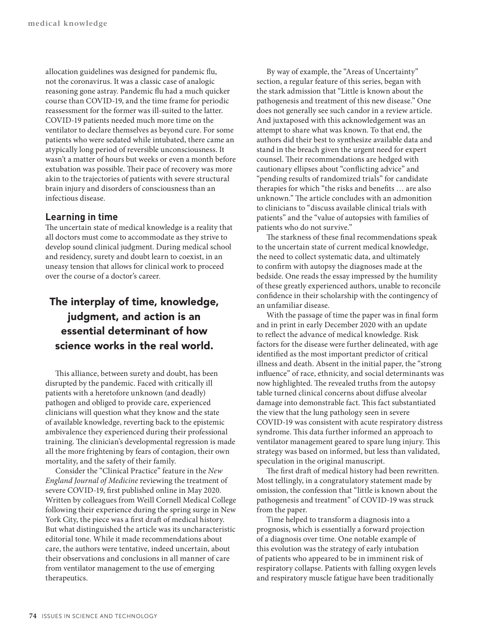allocation guidelines was designed for pandemic flu, not the coronavirus. It was a classic case of analogic reasoning gone astray. Pandemic flu had a much quicker course than COVID-19, and the time frame for periodic reassessment for the former was ill-suited to the latter. COVID-19 patients needed much more time on the ventilator to declare themselves as beyond cure. For some patients who were sedated while intubated, there came an atypically long period of reversible unconsciousness. It wasn't a matter of hours but weeks or even a month before extubation was possible. Their pace of recovery was more akin to the trajectories of patients with severe structural brain injury and disorders of consciousness than an infectious disease.

## **Learning in time**

The uncertain state of medical knowledge is a reality that all doctors must come to accommodate as they strive to develop sound clinical judgment. During medical school and residency, surety and doubt learn to coexist, in an uneasy tension that allows for clinical work to proceed over the course of a doctor's career.

# The interplay of time, knowledge, judgment, and action is an essential determinant of how science works in the real world.

This alliance, between surety and doubt, has been disrupted by the pandemic. Faced with critically ill patients with a heretofore unknown (and deadly) pathogen and obliged to provide care, experienced clinicians will question what they know and the state of available knowledge, reverting back to the epistemic ambivalence they experienced during their professional training. The clinician's developmental regression is made all the more frightening by fears of contagion, their own mortality, and the safety of their family.

Consider the "Clinical Practice" feature in the *New England Journal of Medicine* reviewing the treatment of severe COVID-19, first published online in May 2020. Written by colleagues from Weill Cornell Medical College following their experience during the spring surge in New York City, the piece was a first draft of medical history. But what distinguished the article was its uncharacteristic editorial tone. While it made recommendations about care, the authors were tentative, indeed uncertain, about their observations and conclusions in all manner of care from ventilator management to the use of emerging therapeutics.

By way of example, the "Areas of Uncertainty" section, a regular feature of this series, began with the stark admission that "Little is known about the pathogenesis and treatment of this new disease." One does not generally see such candor in a review article. And juxtaposed with this acknowledgement was an attempt to share what was known. To that end, the authors did their best to synthesize available data and stand in the breach given the urgent need for expert counsel. Their recommendations are hedged with cautionary ellipses about "conflicting advice" and "pending results of randomized trials" for candidate therapies for which "the risks and benefits … are also unknown." The article concludes with an admonition to clinicians to "discuss available clinical trials with patients" and the "value of autopsies with families of patients who do not survive."

The starkness of these final recommendations speak to the uncertain state of current medical knowledge, the need to collect systematic data, and ultimately to confirm with autopsy the diagnoses made at the bedside. One reads the essay impressed by the humility of these greatly experienced authors, unable to reconcile confidence in their scholarship with the contingency of an unfamiliar disease.

With the passage of time the paper was in final form and in print in early December 2020 with an update to reflect the advance of medical knowledge. Risk factors for the disease were further delineated, with age identified as the most important predictor of critical illness and death. Absent in the initial paper, the "strong influence" of race, ethnicity, and social determinants was now highlighted. The revealed truths from the autopsy table turned clinical concerns about diffuse alveolar damage into demonstrable fact. This fact substantiated the view that the lung pathology seen in severe COVID-19 was consistent with acute respiratory distress syndrome. This data further informed an approach to ventilator management geared to spare lung injury. This strategy was based on informed, but less than validated, speculation in the original manuscript.

The first draft of medical history had been rewritten. Most tellingly, in a congratulatory statement made by omission, the confession that "little is known about the pathogenesis and treatment" of COVID-19 was struck from the paper.

Time helped to transform a diagnosis into a prognosis, which is essentially a forward projection of a diagnosis over time. One notable example of this evolution was the strategy of early intubation of patients who appeared to be in imminent risk of respiratory collapse. Patients with falling oxygen levels and respiratory muscle fatigue have been traditionally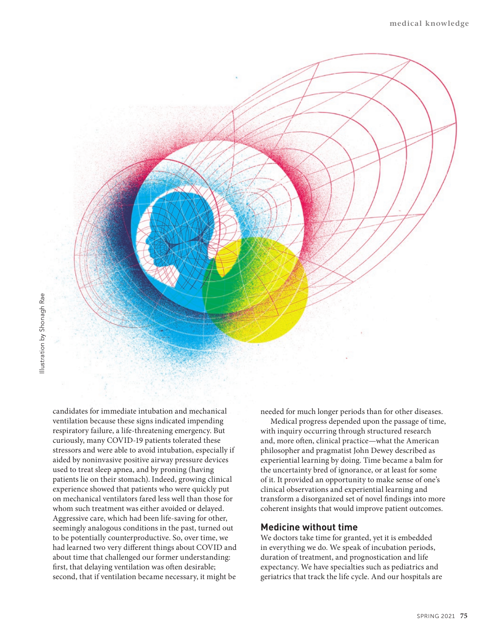

Illustration by Shonagh Rae Illustration by Shonagh Rae

> candidates for immediate intubation and mechanical ventilation because these signs indicated impending respiratory failure, a life-threatening emergency. But curiously, many COVID-19 patients tolerated these stressors and were able to avoid intubation, especially if aided by noninvasive positive airway pressure devices used to treat sleep apnea, and by proning (having patients lie on their stomach). Indeed, growing clinical experience showed that patients who were quickly put on mechanical ventilators fared less well than those for whom such treatment was either avoided or delayed. Aggressive care, which had been life-saving for other, seemingly analogous conditions in the past, turned out to be potentially counterproductive. So, over time, we had learned two very different things about COVID and about time that challenged our former understanding: first, that delaying ventilation was often desirable; second, that if ventilation became necessary, it might be

needed for much longer periods than for other diseases.

Medical progress depended upon the passage of time, with inquiry occurring through structured research and, more often, clinical practice—what the American philosopher and pragmatist John Dewey described as experiential learning by doing. Time became a balm for the uncertainty bred of ignorance, or at least for some of it. It provided an opportunity to make sense of one's clinical observations and experiential learning and transform a disorganized set of novel findings into more coherent insights that would improve patient outcomes.

### **Medicine without time**

We doctors take time for granted, yet it is embedded in everything we do. We speak of incubation periods, duration of treatment, and prognostication and life expectancy. We have specialties such as pediatrics and geriatrics that track the life cycle. And our hospitals are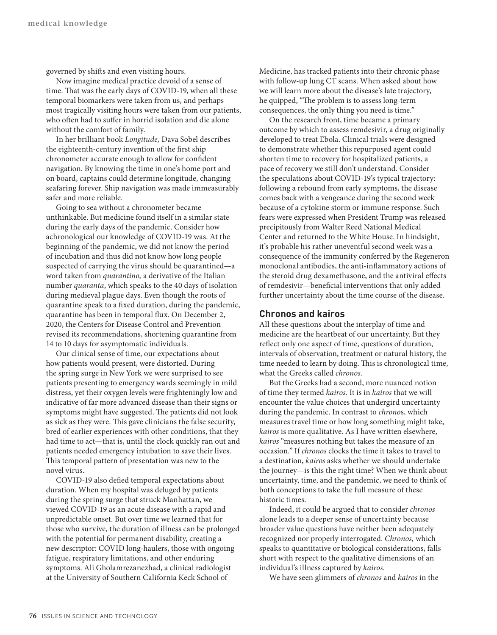governed by shifts and even visiting hours.

Now imagine medical practice devoid of a sense of time. That was the early days of COVID-19, when all these temporal biomarkers were taken from us, and perhaps most tragically visiting hours were taken from our patients, who often had to suffer in horrid isolation and die alone without the comfort of family.

In her brilliant book *Longitude,* Dava Sobel describes the eighteenth-century invention of the first ship chronometer accurate enough to allow for confident navigation. By knowing the time in one's home port and on board, captains could determine longitude, changing seafaring forever. Ship navigation was made immeasurably safer and more reliable.

Going to sea without a chronometer became unthinkable. But medicine found itself in a similar state during the early days of the pandemic. Consider how achronological our knowledge of COVID-19 was. At the beginning of the pandemic, we did not know the period of incubation and thus did not know how long people suspected of carrying the virus should be quarantined—a word taken from *quarantino,* a derivative of the Italian number *quaranta*, which speaks to the 40 days of isolation during medieval plague days. Even though the roots of quarantine speak to a fixed duration, during the pandemic, quarantine has been in temporal flux. On December 2, 2020, the Centers for Disease Control and Prevention revised its recommendations, shortening quarantine from 14 to 10 days for asymptomatic individuals.

Our clinical sense of time, our expectations about how patients would present, were distorted. During the spring surge in New York we were surprised to see patients presenting to emergency wards seemingly in mild distress, yet their oxygen levels were frighteningly low and indicative of far more advanced disease than their signs or symptoms might have suggested. The patients did not look as sick as they were. This gave clinicians the false security, bred of earlier experiences with other conditions, that they had time to act—that is, until the clock quickly ran out and patients needed emergency intubation to save their lives. This temporal pattern of presentation was new to the novel virus.

COVID-19 also defied temporal expectations about duration. When my hospital was deluged by patients during the spring surge that struck Manhattan, we viewed COVID-19 as an acute disease with a rapid and unpredictable onset. But over time we learned that for those who survive, the duration of illness can be prolonged with the potential for permanent disability, creating a new descriptor: COVID long-haulers, those with ongoing fatigue, respiratory limitations, and other enduring symptoms. Ali Gholamrezanezhad, a clinical radiologist at the University of Southern California Keck School of

Medicine, has tracked patients into their chronic phase with follow-up lung CT scans. When asked about how we will learn more about the disease's late trajectory, he quipped, "The problem is to assess long-term consequences, the only thing you need is time."

On the research front, time became a primary outcome by which to assess remdesivir, a drug originally developed to treat Ebola. Clinical trials were designed to demonstrate whether this repurposed agent could shorten time to recovery for hospitalized patients, a pace of recovery we still don't understand. Consider the speculations about COVID-19's typical trajectory: following a rebound from early symptoms, the disease comes back with a vengeance during the second week because of a cytokine storm or immune response. Such fears were expressed when President Trump was released precipitously from Walter Reed National Medical Center and returned to the White House. In hindsight, it's probable his rather uneventful second week was a consequence of the immunity conferred by the Regeneron monoclonal antibodies, the anti-inflammatory actions of the steroid drug dexamethasone, and the antiviral effects of remdesivir—beneficial interventions that only added further uncertainty about the time course of the disease.

## **Chronos and kairos**

All these questions about the interplay of time and medicine are the heartbeat of our uncertainty. But they reflect only one aspect of time, questions of duration, intervals of observation, treatment or natural history, the time needed to learn by doing. This is chronological time, what the Greeks called *chronos.*

But the Greeks had a second, more nuanced notion of time they termed *kairos.* It is in *kairos* that we will encounter the value choices that undergird uncertainty during the pandemic. In contrast to *chrono*s, which measures travel time or how long something might take, *kairos* is more qualitative. As I have written elsewhere, *kairos* "measures nothing but takes the measure of an occasion." If *chronos* clocks the time it takes to travel to a destination, *kairos* asks whether we should undertake the journey—is this the right time? When we think about uncertainty, time, and the pandemic, we need to think of both conceptions to take the full measure of these historic times.

Indeed, it could be argued that to consider *chronos*  alone leads to a deeper sense of uncertainty because broader value questions have neither been adequately recognized nor properly interrogated. *Chronos,* which speaks to quantitative or biological considerations, falls short with respect to the qualitative dimensions of an individual's illness captured by *kairos*.

We have seen glimmers of *chronos* and *kairos* in the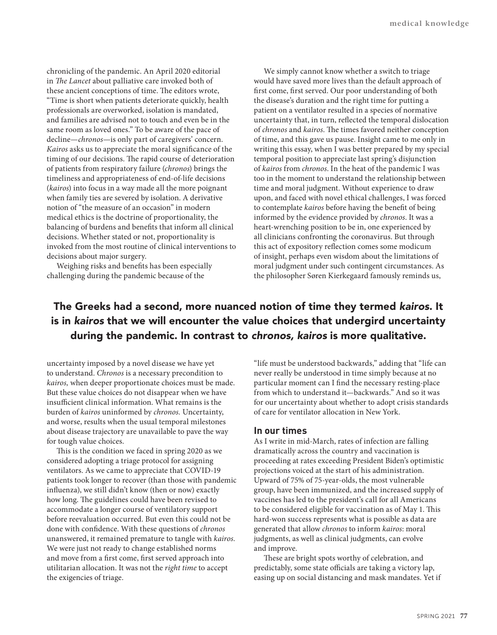chronicling of the pandemic. An April 2020 editorial in *The Lancet* about palliative care invoked both of these ancient conceptions of time. The editors wrote, "Time is short when patients deteriorate quickly, health professionals are overworked, isolation is mandated, and families are advised not to touch and even be in the same room as loved ones." To be aware of the pace of decline—*chronos*—is only part of caregivers' concern. *Kairos* asks us to appreciate the moral significance of the timing of our decisions. The rapid course of deterioration of patients from respiratory failure (*chronos*) brings the timeliness and appropriateness of end-of-life decisions (*kairos*) into focus in a way made all the more poignant when family ties are severed by isolation. A derivative notion of "the measure of an occasion" in modern medical ethics is the doctrine of proportionality, the balancing of burdens and benefits that inform all clinical decisions. Whether stated or not, proportionality is invoked from the most routine of clinical interventions to decisions about major surgery.

Weighing risks and benefits has been especially challenging during the pandemic because of the

We simply cannot know whether a switch to triage would have saved more lives than the default approach of first come, first served. Our poor understanding of both the disease's duration and the right time for putting a patient on a ventilator resulted in a species of normative uncertainty that, in turn, reflected the temporal dislocation of *chronos* and *kairos*. The times favored neither conception of time, and this gave us pause. Insight came to me only in writing this essay, when I was better prepared by my special temporal position to appreciate last spring's disjunction of *kairos* from *chronos*. In the heat of the pandemic I was too in the moment to understand the relationship between time and moral judgment. Without experience to draw upon, and faced with novel ethical challenges, I was forced to contemplate *kairos* before having the benefit of being informed by the evidence provided by *chronos*. It was a heart-wrenching position to be in, one experienced by all clinicians confronting the coronavirus. But through this act of expository reflection comes some modicum of insight, perhaps even wisdom about the limitations of moral judgment under such contingent circumstances. As the philosopher Søren Kierkegaard famously reminds us,

# The Greeks had a second, more nuanced notion of time they termed *kairos*. It is in *kairos* that we will encounter the value choices that undergird uncertainty during the pandemic. In contrast to *chronos, kairos* is more qualitative.

uncertainty imposed by a novel disease we have yet to understand. *Chronos* is a necessary precondition to *kairos,* when deeper proportionate choices must be made. But these value choices do not disappear when we have insufficient clinical information. What remains is the burden of *kairos* uninformed by *chronos.* Uncertainty, and worse, results when the usual temporal milestones about disease trajectory are unavailable to pave the way for tough value choices.

This is the condition we faced in spring 2020 as we considered adopting a triage protocol for assigning ventilators. As we came to appreciate that COVID-19 patients took longer to recover (than those with pandemic influenza), we still didn't know (then or now) exactly how long. The guidelines could have been revised to accommodate a longer course of ventilatory support before reevaluation occurred. But even this could not be done with confidence. With these questions of *chronos*  unanswered, it remained premature to tangle with *kairos.*  We were just not ready to change established norms and move from a first come, first served approach into utilitarian allocation. It was not the *right time* to accept the exigencies of triage.

"life must be understood backwards," adding that "life can never really be understood in time simply because at no particular moment can I find the necessary resting-place from which to understand it—backwards." And so it was for our uncertainty about whether to adopt crisis standards of care for ventilator allocation in New York.

#### **In our times**

As I write in mid-March, rates of infection are falling dramatically across the country and vaccination is proceeding at rates exceeding President Biden's optimistic projections voiced at the start of his administration. Upward of 75% of 75-year-olds, the most vulnerable group, have been immunized, and the increased supply of vaccines has led to the president's call for all Americans to be considered eligible for vaccination as of May 1. This hard-won success represents what is possible as data are generated that allow *chronos* to inform *kairos*: moral judgments, as well as clinical judgments, can evolve and improve.

These are bright spots worthy of celebration, and predictably, some state officials are taking a victory lap, easing up on social distancing and mask mandates. Yet if